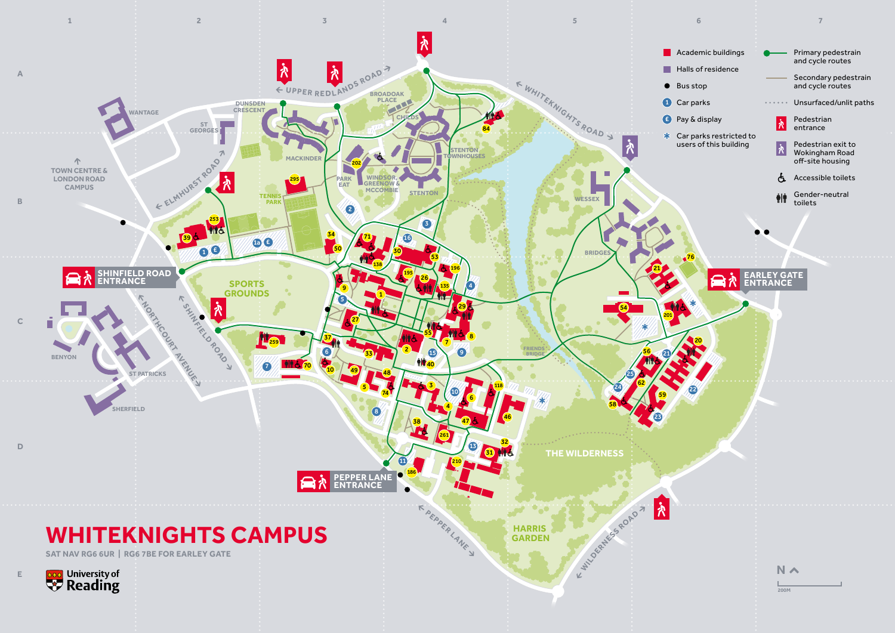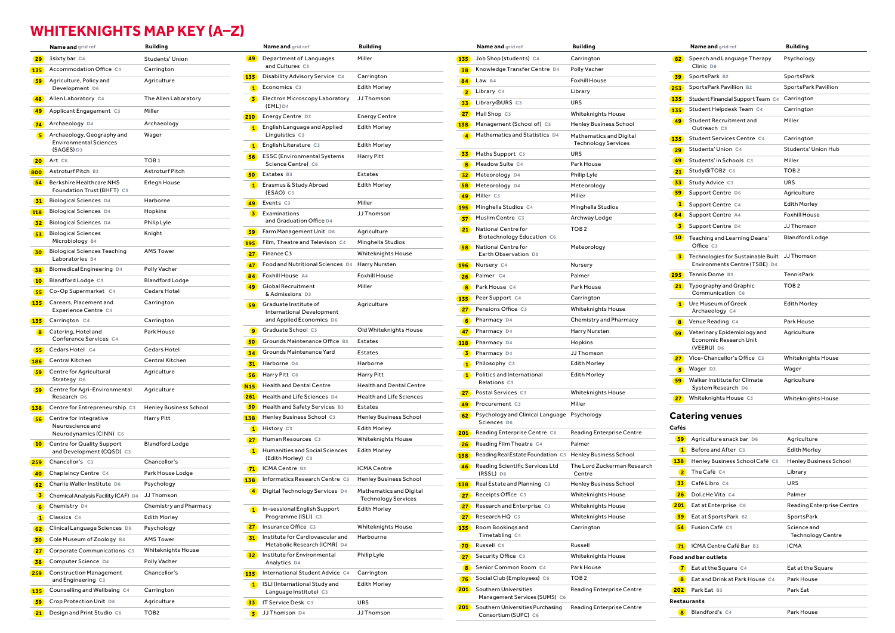# **WHITEKNIGHTS MAP KEY (A–Z)**

|                 | <b>Name and</b> grid ref                                                    | Building                      |
|-----------------|-----------------------------------------------------------------------------|-------------------------------|
| 29              | 3sixty bar C4                                                               | Students' Union               |
|                 | 135 Accommodation Office C4                                                 | Carrington                    |
| 59              | Agriculture, Policy and<br>Development D6                                   | Agriculture                   |
| 48              | Allen Laboratory C4                                                         | The Allen Laboratory          |
|                 | <b>49</b> Applicant Engagement C3                                           | Miller                        |
|                 | 74 Archaeology D4                                                           | Archaeology                   |
|                 | 5 Archaeology, Geography and<br><b>Environmental Sciences</b><br>(SAGES) D3 | Wager                         |
| 20 <sup>2</sup> | Art C6                                                                      | TOB <sub>1</sub>              |
|                 | 800 Astroturf Pitch B3                                                      | Astroturf Pitch               |
| 54)             | Berkshire Healthcare NHS<br>Foundation Trust (BHFT) C5                      | Erlegh House                  |
| 31)             | <b>Biological Sciences D4</b>                                               | Harborne                      |
| <b>118</b>      | <b>Biological Sciences D4</b>                                               | Hopkins                       |
| 32)             | <b>Biological Sciences D4</b>                                               | Philip Lyle                   |
| 53)             | <b>Biological Sciences</b><br>Microbiology B4                               | Knight                        |
| 30 <sub>o</sub> | <b>Biological Sciences Teaching</b><br>Laboratories B4                      | <b>AMS Tower</b>              |
| 38              | Biomedical Engineering D4                                                   | Polly Vacher                  |
| 10 <sup>1</sup> | Blandford Lodge C3                                                          | <b>Blandford Lodge</b>        |
| 55)             | Co-Op Supermarket C4                                                        | Cedars Hotel                  |
| 135             | Careers, Placement and<br>Experience Centre C4                              | Carrington                    |
| 135             | Carrington C4                                                               | Carrington                    |
| 8               | Catering, Hotel and<br>Conference Services C4                               | Park House                    |
| 55              | Cedars Hotel C4                                                             | Cedars Hotel                  |
| <b>186</b>      | Central Kitchen                                                             | Central Kitchen               |
| 59              | Centre for Agricultural<br>Strategy D6                                      | Agriculture                   |
| <b>59</b>       | Centre for Agri-Environmental<br>Research D6                                | Agriculture                   |
| 138             | Centre for Entrepreneurship C3                                              | <b>Henley Business School</b> |
| 56)             | Centre for Integrative<br>Neuroscience and<br>Neurodynamics (CINN) C6       | <b>Harry Pitt</b>             |
| 10 <sup>o</sup> | Centre for Quality Support<br>and Development (CQSD) C3                     | Blandford Lodge               |
| 259             | Chancellor's C3                                                             | Chancellor's                  |
| 40              | Chaplaincy Centre C4                                                        | Park House Lodge              |
| 62              | Charlie Waller Institute D6                                                 | Psychology                    |
| $\bullet$       | Chemical Analysis Facility (CAF) D4                                         | JJ Thomson                    |
| 6 <sup>1</sup>  | Chemistry D4                                                                | Chemistry and Pharmacy        |
| $\bullet$       | Classics C4                                                                 | <b>Edith Morley</b>           |
|                 | 62 Clinical Language Sciences D6                                            | Psychology                    |
| 30              | Cole Museum of Zoology B4                                                   | <b>AMS Tower</b>              |
|                 | <b>27</b> Corporate Communications C3                                       | Whiteknights House            |
|                 | 38 Computer Science D4                                                      | Polly Vacher                  |
|                 | 259 Construction Management<br>and Engineering C3                           | Chancellor's                  |
| <b>135</b>      | Counselling and Wellbeing C4                                                | Carrington                    |
|                 | <b>59</b> Crop Protection Unit D6                                           | Agriculture                   |
|                 | 21 Design and Print Studio C6                                               | TOB <sub>2</sub>              |

| <b>Name and</b> grid ref                               | <b>Building</b>                            | Name and grid ref                                                         | <b>Building</b>               |                 | Name and grid ref                                                   | <b>Building</b>                 |       | Name and grid ref                                    | <b>Building</b>  |
|--------------------------------------------------------|--------------------------------------------|---------------------------------------------------------------------------|-------------------------------|-----------------|---------------------------------------------------------------------|---------------------------------|-------|------------------------------------------------------|------------------|
| 3sixty bar C4                                          | Students' Union                            | 49 Department of Languages<br>and Cultures C3                             | Miller                        |                 | <b>135</b> Job Shop (students) C4                                   | Carrington                      |       | 62 Speech and Language Therapy<br>Clinic D6          | Psycholo         |
| Accommodation Office C4                                | Carrington<br>135                          | Disability Advisory Service C4                                            | Carrington                    |                 | 38 Knowledge Transfer Centre D4                                     | Polly Vacher                    |       | 39 SportsPark B2                                     | SportsPa         |
| Agriculture, Policy and<br>Development D6              | Agriculture                                | 1 Economics C3                                                            | <b>Edith Morley</b>           |                 | 84 Law A4<br>2 Library C4                                           | <b>Foxhill House</b><br>Library |       | 253 SportsPark Pavillion B2                          | SportsPa         |
| Allen Laboratory C4                                    | The Allen Laboratory                       | Electron Microscopy Laboratory JJ Thomson<br>$\overline{\mathbf{3}}$      |                               |                 | 33 Library@URS C3                                                   | URS                             |       | <b>135</b> Student Financial Support Team C4         | Carringto        |
| Applicant Engagement C3                                | Miller                                     | $(EML)$ D <sub>4</sub>                                                    |                               |                 | 27 Mail Shop C3                                                     | Whiteknights House              |       | Student Helpdesk Team C4                             | Carringto        |
| Archaeology D4                                         | Archaeology                                | 210 Energy Centre D3                                                      | <b>Energy Centre</b>          |                 | 138 Management (School of) C3                                       | <b>Henley Business School</b>   | 49    | Student Recruitment and                              | Miller           |
| Archaeology, Geography and                             | Wager                                      | English Language and Applied<br>$\blacksquare$<br>Linguistics C3          | <b>Edith Morley</b>           |                 | 4 Mathematics and Statistics D4                                     | Mathematics and Digital         |       | Outreach C3                                          |                  |
| <b>Environmental Sciences</b>                          |                                            | <b>1</b> English Literature C3                                            | <b>Edith Morley</b>           |                 |                                                                     | <b>Technology Services</b>      |       | 135 Student Services Centre C4                       | Carringto        |
| (SAGES) D3                                             | 56                                         | <b>ESSC</b> (Environmental Systems                                        | Harry Pitt                    |                 | <b>33</b> Maths Support C3                                          | URS                             |       | 29 Students' Union C4                                | Students         |
| Art C6                                                 | TOB <sub>1</sub>                           | Science Centre) C6                                                        |                               |                 | 8 Meadow Suite C4                                                   | Park House                      |       | 49 Students' in Schools C3                           | Miller           |
| Astroturf Pitch B3                                     | Astroturf Pitch                            | 50 Estates B3                                                             | Estates                       |                 | 32 Meteorology D4                                                   | Philip Lyle                     |       | 21 Study@TOB2 C6                                     | TOB <sub>2</sub> |
| Berkshire Healthcare NHS<br>Foundation Trust (BHFT) C5 | Erlegh House                               | <b>1</b> Erasmus & Study Abroad                                           | <b>Edith Morley</b>           |                 | 58 Meteorology D4                                                   | Meteorology                     |       | <b>33</b> Study Advice C3                            | URS              |
| Biological Sciences D4                                 | Harborne                                   | (ESAO) C3<br>49 Events C3                                                 | Miller                        |                 | 49 Miller C3                                                        | Miller                          |       | 59 Support Centre D6                                 | Agricultu        |
| Biological Sciences D4                                 | Hopkins                                    | $\overline{\mathbf{3}}$<br>Examinations                                   | JJ Thomson                    |                 | 195 Minghella Studios C4                                            | Minghella Studios               |       | 1 Support Centre C4                                  | Edith Mo         |
| Biological Sciences D4                                 | Philip Lyle                                | and Graduation Office D4                                                  |                               |                 | 37 Muslim Centre C3                                                 | Archway Lodge                   |       | 84 Support Centre A4                                 | Foxhill Ho       |
| <b>Biological Sciences</b>                             | Knight                                     | 59 Farm Management Unit D6                                                | Agriculture                   |                 | 21 National Centre for                                              | TOB <sub>2</sub>                |       | 3 Support Centre D4                                  | JJ Thom:         |
| Microbiology B4                                        |                                            | 195 Film, Theatre and Televison C4                                        | Minghella Studios             |                 | Biotechnology Education C6<br>National Centre for                   |                                 |       | <b>10</b> Teaching and Learning Deans'<br>Office C3  | <b>Blandfor</b>  |
| <b>Biological Sciences Teaching</b>                    | <b>AMS Tower</b>                           | 27 Finance C3                                                             | <b>Whiteknights House</b>     | 58              | Earth Observation D5                                                | Meteorology                     |       | 3 Technologies for Sustainable Built                 | JJ Thom:         |
| Laboratories B4                                        | <b>47</b>                                  | Food and Nutritional Sciences D4 Harry Nursten                            |                               |                 | 196 Nursery C4                                                      | Nursery                         |       | Environments Centre (TSBE) D4                        |                  |
| Biomedical Engineering D4                              | <b>Polly Vacher</b>                        | 84 Foxhill House A4                                                       | Foxhill House                 |                 | 26 Palmer C4                                                        | Palmer                          |       | 295 Tennis Dome B3                                   | TennisPa         |
| Blandford Lodge C3                                     | <b>Blandford Lodge</b><br>49               | <b>Global Recruitment</b>                                                 | Miller                        | 8               | Park House C4                                                       | Park House                      |       | 21 Typography and Graphic                            | TOB <sub>2</sub> |
| Co-Op Supermarket C4                                   | Cedars Hotel                               | & Admissions D3                                                           |                               |                 | 135 Peer Support C4                                                 | Carrington                      |       | Communication C6                                     |                  |
| Careers, Placement and<br>Experience Centre C4         | Carrington<br>59.                          | Graduate Institute of<br>International Development                        | Agriculture                   |                 | 27 Pensions Office C3                                               | <b>Whiteknights House</b>       |       | 1 Ure Museum of Greek<br>Archaeology C4              | Edith Mor        |
| Carrington C4                                          | Carrington                                 | and Applied Economics D6                                                  |                               |                 | 6 Pharmacy D4                                                       | Chemistry and Pharmacy          |       | 8 Venue Reading C4                                   | Park Hou         |
| Catering, Hotel and                                    | Park House                                 | <b>g</b> Graduate School C3                                               | Old Whiteknights House        |                 | 47 Pharmacy D4                                                      | Harry Nursten                   |       | <b>59</b> Veterinary Epidemiology and                | Agricultu        |
| Conference Services C4                                 |                                            | 50 Grounds Maintenance Office B3                                          | Estates                       |                 | 118 Pharmacy D4                                                     | Hopkins                         |       | Economic Research Unit                               |                  |
| Cedars Hotel C4                                        | Cedars Hotel                               | 34 Grounds Maintenance Yard                                               | Estates                       |                 | 3 Pharmacy D4                                                       | JJ Thomson                      |       | (VEERU) D6                                           |                  |
| Central Kitchen                                        | Central Kitchen                            | 31 Harborne D4                                                            | Harborne                      |                 | 1 Philosophy C3                                                     | <b>Edith Morley</b>             |       | 27 Vice-Chancellor's Office C3                       | Whitekni         |
| Centre for Agricultural<br>Strategy D6                 | Agriculture                                | <b>56</b> Harry Pitt C6                                                   | Harry Pitt                    |                 | 1 Politics and International                                        | <b>Edith Morley</b>             |       | 5 Wager D3<br><b>59</b> Walker Institute for Climate | Wager            |
| Centre for Agri-Environmental                          | Agriculture                                | <b>N15</b> Health and Dental Centre                                       | Health and Dental Centre      |                 | Relations C3                                                        |                                 |       | System Research D6                                   | Agricultu        |
| Research D6                                            |                                            | <b>261</b> Health and Life Sciences D4                                    | Health and Life Sciences      |                 | 27 Postal Services C3                                               | Whiteknights House              |       | 27 Whiteknights House C3                             | Whitekni         |
| Centre for Entrepreneurship C3                         | <b>50</b><br><b>Henley Business School</b> | Health and Safety Services B3                                             | Estates                       |                 | 49 Procurement C3                                                   | Miller                          |       |                                                      |                  |
| Centre for Integrative                                 | 138<br>Harry Pitt                          | Henley Business School C3                                                 | <b>Henley Business School</b> |                 | 62 Psychology and Clinical Language Psychology<br>Sciences D6       |                                 |       | <b>Catering venues</b>                               |                  |
| Neuroscience and<br>Neurodynamics (CINN) C6            |                                            | 1 History C3                                                              | <b>Edith Morley</b>           |                 | 201 Reading Enterprise Centre C6                                    | Reading Enterprise Centre       | Cafés |                                                      |                  |
| Centre for Quality Support                             | 27 <sup>2</sup><br><b>Blandford Lodge</b>  | Human Resources C3                                                        | <b>Whiteknights House</b>     | 26 <sup>1</sup> | Reading Film Theatre C4                                             | Palmer                          |       | 59 Agriculture snack bar D6                          | Agricult         |
| and Development (CQSD) C3                              |                                            | <b>1</b> Humanities and Social Sciences<br>(Edith Morley) C3              | <b>Edith Morley</b>           |                 | 138 Reading Real Estate Foundation C3 Henley Business School        |                                 |       | <b>1</b> Before and After C3                         | Edith M          |
| Chancellor's C3                                        | Chancellor's                               | 71 ICMA Centre B3                                                         | ICMA Centre                   | 46              | Reading Scientific Services Ltd                                     | The Lord Zuckerman Research     |       | <b>138</b> Henley Business School Café C3            | Henley           |
| Chaplaincy Centre C4                                   | Park House Lodge                           | 138 Informatics Research Centre C3                                        | <b>Henley Business School</b> |                 | (RSSL) D6                                                           | Centre                          |       | 2 The Café C4                                        | Library          |
| Charlie Waller Institute D6                            | Psychology                                 | Digital Technology Services D4<br>$\vert$ <b>4</b>                        | Mathematics and Digital       |                 | 138 Real Estate and Planning C3                                     | <b>Henley Business School</b>   |       | 33 Café Libro C4                                     | <b>URS</b>       |
| Chemical Analysis Facility (CAF) D4 JJ Thomson         |                                            |                                                                           | <b>Technology Services</b>    |                 | 27 Receipts Office C3                                               | <b>Whiteknights House</b>       |       | <b>26</b> Dol.cHe Vita C4                            | Palmer           |
| Chemistry D4                                           | Chemistry and Pharmacy                     | 1 In-sessional English Support                                            | <b>Edith Morley</b>           |                 | 27 Research and Enterprise C3                                       | <b>Whiteknights House</b>       |       | 201 Eat at Enterprise C6                             | Reading          |
| Classics C4                                            | <b>Edith Morley</b>                        | Programme (ISLI) C3                                                       |                               |                 | 27 Research HQ C3                                                   | <b>Whiteknights House</b>       |       | 39 Eat at SportsPark B2                              | SportsF          |
| Clinical Language Sciences D6                          | Psychology                                 | 27 Insurance Office C3                                                    | <b>Whiteknights House</b>     |                 | <b>135</b> Room Bookings and<br>Timetabling C4                      | Carrington                      |       | <b>54</b> Fusion Café C5                             | Science<br>Techn |
| Cole Museum of Zoology B4                              | <b>AMS Tower</b>                           | Institute for Cardiovascular and<br>Metabolic Research (ICMR) D4          | Harbourne                     |                 | 70 Russell C3                                                       | Russell                         |       | 71 ICMA Centre Café Bar B3                           | <b>ICMA</b>      |
| Corporate Communications C3                            | <b>Whiteknights House</b><br>32            | Institute for Environmental                                               | Philip Lyle                   |                 | 27 Security Office C3                                               | <b>Whiteknights House</b>       |       | <b>Food and bar outlets</b>                          |                  |
| Computer Science D4                                    | Polly Vacher                               | Analytics D4                                                              |                               | 8               | Senior Common Room C4                                               | Park House                      |       | 7 Eat at the Square C4                               | Eatatth          |
| <b>Construction Management</b><br>and Engineering C3   | Chancellor's<br>135                        | International Student Advice C4                                           | Carrington                    | 76)             | Social Club (Employees) C6                                          | TOB <sub>2</sub>                |       | <b>8</b> Eat and Drink at Park House C4              | Park Ho          |
| Counselling and Wellbeing C4                           | Carrington                                 | ISLI (International Study and<br>$\blacksquare$<br>Language Institute) C3 | <b>Edith Morley</b>           |                 | 201 Southern Universities                                           | Reading Enterprise Centre       |       | 202 Park Eat B3                                      | Park Eat         |
| Crop Protection Unit D6                                | Agriculture                                | <b>33</b> IT Service Desk C3                                              | URS                           |                 | Management Services (SUMS) C6                                       |                                 |       | Restaurants                                          |                  |
| Design and Print Studio C6                             | TOB <sub>2</sub>                           | 3 JJ Thomson D4                                                           | JJ Thomson                    |                 | <b>201</b> Southern Universities Purchasing<br>Consortium (SUPC) C6 | Reading Enterprise Centre       |       | 8 Blandford's C4                                     | Park Ho          |
|                                                        |                                            |                                                                           |                               |                 |                                                                     |                                 |       |                                                      |                  |

|                   | Name and grid ref                                             | <b>Building</b>                                       |
|-------------------|---------------------------------------------------------------|-------------------------------------------------------|
|                   | 135 Job Shop (students) C4                                    | Carrington                                            |
|                   | 38 Knowledge Transfer Centre D4                               | Polly Vacher                                          |
| 84                | Law A4                                                        | <b>Foxhill House</b>                                  |
|                   | 2 Library C4                                                  | Library                                               |
|                   | 33 Library@URS C3                                             | URS                                                   |
|                   | <b>27</b> Mail Shop C3                                        | Whiteknights House                                    |
| 138               | Management (School of) C3                                     | <b>Henley Business School</b>                         |
| $\bullet$         | Mathematics and Statistics D4                                 | Mathematics and Digital<br><b>Technology Services</b> |
| 33)               | Maths Support C3                                              | <b>URS</b>                                            |
| 8                 | Meadow Suite C4                                               | Park House                                            |
|                   | 32 Meteorology D4                                             | Philip Lyle                                           |
| 58)               | Meteorology D4                                                | Meteorology                                           |
| 49                | Miller C3                                                     | Miller                                                |
|                   | 195 Minghella Studios C4                                      | Minghella Studios                                     |
| 37)               | Muslim Centre C3                                              | Archway Lodge                                         |
| 21)               | National Centre for<br>Biotechnology Education C6             | TOB <sub>2</sub>                                      |
| 58                | National Centre for<br>Earth Observation D5                   | Meteorology                                           |
| 196               | Nursery C4                                                    | Nursery                                               |
|                   | 26 Palmer C4                                                  | Palmer                                                |
| 8                 | Park House C4                                                 | Park House                                            |
|                   | 135 Peer Support C4                                           | Carrington                                            |
| 27)               | Pensions Office C3                                            | Whiteknights House                                    |
| 6                 | Pharmacy D4                                                   | Chemistry and Pharmacy                                |
| 47 <sup>°</sup>   | Pharmacy D4                                                   | Harry Nursten                                         |
| <b>118</b>        | Pharmacy D4                                                   | Hopkins                                               |
| $\left( 3\right)$ | Pharmacy D4                                                   | JJ Thomson                                            |
| $\bullet$         | Philosophy C3                                                 | <b>Edith Morley</b>                                   |
|                   | 1 Politics and International<br>Relations C3                  | <b>Edith Morley</b>                                   |
| 27 <sub>2</sub>   | Postal Services C3                                            | Whiteknights House                                    |
| 49                | Procurement C3                                                | Miller                                                |
|                   | 62 Psychology and Clinical Language Psychology<br>Sciences D6 |                                                       |
| 201)              | Reading Enterprise Centre C6                                  | Reading Enterprise Centre                             |
| 26                | Reading Film Theatre C4                                       | Palmer                                                |
| 138               | Reading Real Estate Foundation C3                             | <b>Henley Business School</b>                         |
| 46)               | Reading Scientific Services Ltd<br>(RSSL) D6                  | The Lord Zuckerman Research<br>Centre                 |
| <b>138</b>        | Real Estate and Planning C3                                   | <b>Henley Business School</b>                         |
|                   | 27 Receipts Office C3                                         | <b>Whiteknights House</b>                             |
|                   | <b>27</b> Research and Enterprise C3                          | Whiteknights House                                    |
| 27 <sup>2</sup>   | Research HQ C3                                                | Whiteknights House                                    |
| 135               | Room Bookings and<br>Timetabling C4                           | Carrington                                            |
| 70                | Russell C3                                                    | Russell                                               |
| 27)               | Security Office C3                                            | Whiteknights House                                    |
| 8                 | Senior Common Room C4                                         | Park House                                            |
| 76)               | Social Club (Employees) C6                                    | TOB <sub>2</sub>                                      |
| 201               | Southern Universities<br>Management Services (SUMS) C6        | Reading Enterprise Centre                             |
| 201               | Southern Universities Purchasing<br>Consortium (SUPC) C6      | Reading Enterprise Centre                             |

|                 | Name and grid ref                                                   | <b>Building</b>           |
|-----------------|---------------------------------------------------------------------|---------------------------|
| 62              | Speech and Language Therapy<br>Clinic D6                            | Psychology                |
| 39)             | SportsPark B2                                                       | SportsPark                |
| 253             | SportsPark Pavillion B2                                             | SportsPark Pavillion      |
| 135             | Student Financial Support Team C4                                   | Carrington                |
| 135             | Student Helpdesk Team C4                                            | Carrington                |
| 49              | <b>Student Recruitment and</b><br>Outreach C3                       | Miller                    |
| 135             | Student Services Centre C4                                          | Carrington                |
| 29              | Students' Union C4                                                  | Students' Union Hub       |
| 49              | Students' in Schools C3                                             | Miller                    |
| 21)             | Study@TOB2 C6                                                       | TOB <sub>2</sub>          |
| 33)             | Study Advice C3                                                     | URS                       |
| 59)             | Support Centre D6                                                   | Agriculture               |
| $\blacksquare$  | Support Centre C4                                                   | <b>Edith Morley</b>       |
| 84              | Support Centre A4                                                   | <b>Foxhill House</b>      |
| $\mathbf{3}$    | Support Centre D4                                                   | <b>JJ Thomson</b>         |
| 10 <sup>1</sup> | Teaching and Learning Deans'<br>Office C3                           | <b>Blandford Lodge</b>    |
| $\mathbf{z}$    | Technologies for Sustainable Built<br>Environments Centre (TSBE) D4 | JJ Thomson                |
| 295             | Tennis Dome B3                                                      | <b>TennisPark</b>         |
| 21              | Typography and Graphic<br>Communication C6                          | TOB <sub>2</sub>          |
| $\blacksquare$  | Ure Museum of Greek<br>Archaeology C4                               | <b>Edith Morley</b>       |
| 8               | Venue Reading C4                                                    | Park House                |
| 59)             | Veterinary Epidemiology and<br>Economic Research Unit<br>(VEERU) D6 | Agriculture               |
| 27)             | Vice-Chancellor's Office C3                                         | <b>Whiteknights House</b> |
| 5               | Wager D3                                                            | Wager                     |
| 59)             | Walker Institute for Climate<br>System Research D6                  | Agriculture               |
| 27              | Whiteknights House C3                                               | Whiteknights House        |

### **Catering venues**

| Cafés              |                                |                                         |
|--------------------|--------------------------------|-----------------------------------------|
| 59                 | Agriculture snack bar D6       | Agriculture                             |
| $\mathbf{1}$       | Before and After C3            | <b>Edith Morley</b>                     |
| 138                | Henley Business School Café C3 | Henley Business School                  |
| $\overline{2}$     | The Café C4                    | Library                                 |
| 33                 | Café Libro C4                  | <b>URS</b>                              |
| 26 <sup>2</sup>    | Dol.cHe Vita C4                | Palmer                                  |
| 201                | Eat at Enterprise C6           | Reading Enterprise Centre               |
| 39                 | Eat at SportsPark B2           | SportsPark                              |
| 54                 | Fusion Café C5                 | Science and<br><b>Technology Centre</b> |
| 71                 | ICMA Centre Café Bar B3        | ICMA                                    |
|                    | <b>Food and bar outlets</b>    |                                         |
| $\overline{7}$     | Eat at the Square C4           | Eat at the Square                       |
| 8.                 | Eat and Drink at Park House C4 | Park House                              |
| 202                | Park Eat B3                    | Park Eat                                |
| <b>Restaurants</b> |                                |                                         |
| 8                  | Blandford's C4                 | Park House                              |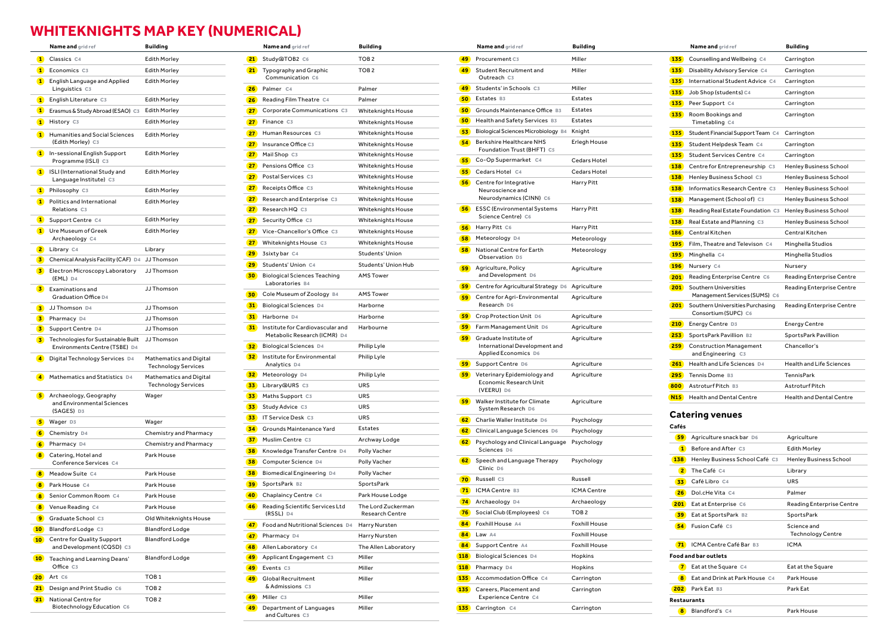## **WHITEKNIGHTS MAP KEY (NUMERICAL)**

|                 | Name and grid ref                                                   | <b>Building</b>                                       |
|-----------------|---------------------------------------------------------------------|-------------------------------------------------------|
| $\bullet$       | Classics C4                                                         | <b>Edith Morley</b>                                   |
| $\mathbf{1}$    | Economics C3                                                        | <b>Edith Morley</b>                                   |
| $\blacksquare$  | English Language and Applied<br>Linguistics C3                      | <b>Edith Morley</b>                                   |
| $\bullet$       | English Literature C3                                               | <b>Edith Morley</b>                                   |
| $\blacksquare$  | Erasmus & Study Abroad (ESAO) C3                                    | <b>Edith Morley</b>                                   |
| $\bullet$       | History C3                                                          | <b>Edith Morley</b>                                   |
| $\blacksquare$  | <b>Humanities and Social Sciences</b><br>(Edith Morley) C3          | <b>Edith Morley</b>                                   |
| $\blacksquare$  | In-sessional English Support<br>Programme (ISLI) C3                 | <b>Edith Morley</b>                                   |
| $\blacksquare$  | ISLI (International Study and<br>Language Institute) C3             | <b>Edith Morley</b>                                   |
| $\blacksquare$  | Philosophy C3                                                       | <b>Edith Morley</b>                                   |
| $\bullet$       | Politics and International<br>Relations C3                          | <b>Edith Morley</b>                                   |
| $\blacksquare$  | Support Centre C4                                                   | <b>Edith Morley</b>                                   |
| $\bullet$       | Ure Museum of Greek<br>Archaeology C4                               | <b>Edith Morley</b>                                   |
| $\mathbf{z}$    | Library C4                                                          | Library                                               |
| $\mathbf{3}$    | Chemical Analysis Facility (CAF) D4                                 | JJ Thomson                                            |
| $\mathbf{3}$    | Electron Microscopy Laboratory<br>(EML) D4                          | JJ Thomson                                            |
| $\mathbf{3}$    | Examinations and<br>Graduation Office D4                            | JJ Thomson                                            |
| $\mathbf{z}$    | JJ Thomson D4                                                       | JJ Thomson                                            |
| $\mathbf{z}$    | Pharmacy D4                                                         | JJ Thomson                                            |
| $\mathbf{3}$    | Support Centre D4                                                   | JJ Thomson                                            |
| $\mathbf{z}$    | Technologies for Sustainable Built<br>Environments Centre (TSBE) D4 | JJ Thomson                                            |
| $\bullet$       | Digital Technology Services D4                                      | Mathematics and Digital<br><b>Technology Services</b> |
|                 | 4 Mathematics and Statistics D4                                     | Mathematics and Digital<br><b>Technology Services</b> |
| 5               | Archaeology, Geography<br>and Environmental Sciences<br>(SAGES) D3  | Wager                                                 |
| $\mathbf{5}$    | Wager D3                                                            | Wager                                                 |
| $\bullet$       | Chemistry D4                                                        | Chemistry and Pharmacy                                |
| $\bullet$       | Pharmacy D4                                                         | Chemistry and Pharmacy                                |
| 8               | Catering, Hotel and<br>Conference Services C4                       | Park House                                            |
| $\bullet$       | Meadow Suite C4                                                     | Park House                                            |
| $\bullet$       | Park House C4                                                       | Park House                                            |
| $\bullet$       | Senior Common Room C4                                               | Park House                                            |
| $\bullet$       | Venue Reading C4                                                    | Park House                                            |
| 9)              | Graduate School C3                                                  | Old Whiteknights House                                |
| 10 <sub>2</sub> | Blandford Lodge C3                                                  | <b>Blandford Lodge</b>                                |
| 10 <sup>2</sup> | Centre for Quality Support<br>and Development (CQSD) C3             | <b>Blandford Lodge</b>                                |
| 10 <sub>1</sub> | Teaching and Learning Deans'<br>Office C3                           | <b>Blandford Lodge</b>                                |
| 20)             | Art C6                                                              | TOB <sub>1</sub>                                      |
| 21)             | Design and Print Studio C6                                          | TOB <sub>2</sub>                                      |
| 21)             | National Centre for                                                 | TOB <sub>2</sub>                                      |
|                 | Biotechnology Education C6                                          |                                                       |

|                 | Name and grid ref                                                | <b>Building</b>                              |
|-----------------|------------------------------------------------------------------|----------------------------------------------|
| 21              | Study@TOB2 C6                                                    | TOB <sub>2</sub>                             |
| 21)             | Typography and Graphic<br>Communication C6                       | TOB <sub>2</sub>                             |
| 26)             | Palmer C4                                                        | Palmer                                       |
|                 | <b>26</b> Reading Film Theatre C4                                | Palmer                                       |
| 27)             | Corporate Communications C3                                      | <b>Whiteknights House</b>                    |
| 27)             | Finance C3                                                       | Whiteknights House                           |
| 27 <sup>2</sup> | Human Resources C3                                               | Whiteknights House                           |
| 27 <sup>2</sup> | Insurance Office C3                                              | <b>Whiteknights House</b>                    |
| 27 <sup>2</sup> | Mail Shop C3                                                     | Whiteknights House                           |
|                 | <b>27</b> Pensions Office C3                                     | Whiteknights House                           |
| 27)             | Postal Services C3                                               | Whiteknights House                           |
|                 | <b>27</b> Receipts Office C3                                     | <b>Whiteknights House</b>                    |
| 27)             | Research and Enterprise C3                                       | Whiteknights House                           |
|                 | <b>27</b> Research HQ C3                                         | <b>Whiteknights House</b>                    |
|                 | <b>27</b> Security Office C3                                     | Whiteknights House                           |
|                 | <b>27</b> Vice-Chancellor's Office C3                            | Whiteknights House                           |
| 27 <sub>2</sub> | Whiteknights House C3                                            | <b>Whiteknights House</b>                    |
| 29              | 3sixty bar C4                                                    | Students' Union                              |
| 29              | Students' Union C4                                               | Students' Union Hub                          |
| 30 <sup>o</sup> | <b>Biological Sciences Teaching</b><br>Laboratories B4           | <b>AMS Tower</b>                             |
| 30 <sub>o</sub> | Cole Museum of Zoology B4                                        | <b>AMS Tower</b>                             |
|                 | <b>31</b> Biological Sciences D4                                 | Harborne                                     |
|                 | 31 Harborne D4                                                   | Harborne                                     |
| 31)             | Institute for Cardiovascular and<br>Metabolic Research (ICMR) D4 | Harbourne                                    |
| 32)             | <b>Biological Sciences</b> D4                                    | Philip Lyle                                  |
| 32)             | Institute for Environmental<br>Analytics D4                      | Philip Lyle                                  |
| 32)             | Meteorology D4                                                   | Philip Lyle                                  |
| 33              | Library@URS C3                                                   | URS                                          |
| 33)             | Maths Support C3                                                 | URS                                          |
| 33              | Study Advice C3                                                  | URS                                          |
| 33              | IT Service Desk C3                                               | URS                                          |
| $\overline{34}$ | Grounds Maintenance Yard                                         | Estates                                      |
| 37)             | Muslim Centre C3                                                 | Archway Lodge                                |
| 38)             | Knowledge Transfer Centre D4                                     | Polly Vacher                                 |
| 38              | Computer Science D4                                              | Polly Vacher                                 |
| 38              | Biomedical Engineering D4                                        | Polly Vacher                                 |
| 39              | SportsPark B2                                                    | SportsPark                                   |
| <b>40</b>       | Chaplaincy Centre C4                                             | Park House Lodge                             |
| 46)             | Reading Scientific Services Ltd<br>(RSSL) D4                     | The Lord Zuckerman<br><b>Research Centre</b> |
| 47)             | Food and Nutritional Sciences D4                                 | Harry Nursten                                |
| 47 <sup>°</sup> | Pharmacy D4                                                      | Harry Nursten                                |
|                 | <b>48</b> Allen Laboratory C4                                    | The Allen Laboratory                         |
| 49              | Applicant Engagement C3                                          | Miller                                       |
| 49              | Events C3                                                        | Miller                                       |
| 49              | Global Recruitment<br>& Admissions C3                            | Miller                                       |
| 49              | Miller C3                                                        | Miller                                       |
|                 | 49 Department of Languages                                       | Miller                                       |

and Cultures **C3**

| <b>Name and</b> grid ref                                       | <b>Building</b>                                       | <b>Name and grid ref</b>                               | <b>Building</b>                       | <b>Name and</b> grid ref                                            | <b>Building</b>      | <b>Name and</b> grid ref                                     | Building    |
|----------------------------------------------------------------|-------------------------------------------------------|--------------------------------------------------------|---------------------------------------|---------------------------------------------------------------------|----------------------|--------------------------------------------------------------|-------------|
| Classics C4                                                    | <b>Edith Morley</b>                                   | 21 Study@TOB2 C6                                       | TOB <sub>2</sub>                      | Procurement C3<br>49                                                | Miller               | <b>135</b> Counselling and Wellbeing C4                      | Carringt    |
| Economics C3                                                   | <b>Edith Morley</b>                                   | <b>21</b> Typography and Graphic                       | TOB <sub>2</sub>                      | 49 Student Recruitment and                                          | Miller               | Disability Advisory Service C4<br><b>135</b>                 | Carringt    |
| English Language and Applied                                   | <b>Edith Morley</b>                                   | Communication C6                                       |                                       | Outreach C3                                                         |                      | <b>135</b> International Student Advice C4                   | Carringt    |
| Linguistics C3                                                 |                                                       | 26 Palmer C4                                           | Palmer                                | 49 Students' in Schools C3                                          | Miller               | <b>135</b> Job Shop (students) C4                            | Carringt    |
| English Literature C3                                          | <b>Edith Morley</b>                                   | <b>26</b> Reading Film Theatre C4                      | Palmer                                | 50 Estates B3                                                       | Estates              | 135 Peer Support C4                                          | Carringt    |
| Erasmus & Study Abroad (ESAO) C3                               | <b>Edith Morley</b>                                   | 27 Corporate Communications C3                         | <b>Whiteknights House</b>             | 50<br>Grounds Maintenance Office B3                                 | Estates              | <b>135</b> Room Bookings and                                 | Carringt    |
| History C3                                                     | <b>Edith Morley</b>                                   | 27 Finance C3                                          | <b>Whiteknights House</b>             | 50)<br>Health and Safety Services B3                                | Estates              | Timetabling C4                                               |             |
| Humanities and Social Sciences                                 | Edith Morley                                          | 27)<br>Human Resources C3                              | <b>Whiteknights House</b>             | Biological Sciences Microbiology B4 Knight<br>53)                   |                      | <b>135</b> Student Financial Support Team C4                 | Carringt    |
| (Edith Morley) C3                                              |                                                       | 27 <sup>2</sup><br>Insurance Office C3                 | <b>Whiteknights House</b>             | <b>Berkshire Healthcare NHS</b><br>54<br>Foundation Trust (BHFT) C5 | Erlegh House         | <b>135</b> Student Helpdesk Team C4                          | Carringt    |
| In-sessional English Support                                   | <b>Edith Morley</b>                                   | 27 Mail Shop C3                                        | Whiteknights House                    | Co-Op Supermarket C4<br>55)                                         | Cedars Hotel         | <b>135</b> Student Services Centre C4                        | Carringt    |
| Programme (ISLI) C3                                            |                                                       | 27 <sup>2</sup><br>Pensions Office C3                  | Whiteknights House                    |                                                                     |                      | <b>138</b> Centre for Entrepreneurship C3                    | Henley B    |
| <b>ISLI</b> (International Study and<br>Language Institute) C3 | <b>Edith Morley</b>                                   | Postal Services C3<br>27 <sub>2</sub>                  | Whiteknights House                    | 55)<br>Cedars Hotel C4                                              | Cedars Hotel         | <b>138</b> Henley Business School C3                         | Henley B    |
| Philosophy C3                                                  | <b>Edith Morley</b>                                   | <b>27</b> Receipts Office C3                           | <b>Whiteknights House</b>             | 56)<br>Centre for Integrative<br>Neuroscience and                   | <b>Harry Pitt</b>    | <b>138</b> Informatics Research Centre C3                    | Henley B    |
| Politics and International                                     | <b>Edith Morley</b>                                   | Research and Enterprise C3<br>27 <sub>2</sub>          | <b>Whiteknights House</b>             | Neurodynamics (CINN) C6                                             |                      | <b>138</b> Management (School of) C3                         | Henley B    |
| Relations C3                                                   |                                                       | 27 <sup>1</sup><br>Research HQ C3                      | <b>Whiteknights House</b>             | <b>ESSC</b> (Environmental Systems<br>56                            | Harry Pitt           | <b>138</b> Reading Real Estate Foundation C3                 | Henley B    |
| Support Centre C4                                              | <b>Edith Morley</b>                                   | <b>27</b> Security Office C3                           | Whiteknights House                    | Science Centre) C6                                                  |                      | <b>138</b> Real Estate and Planning C3                       | Henley B    |
| Ure Museum of Greek                                            | <b>Edith Morley</b>                                   | 27 Vice-Chancellor's Office C3                         | <b>Whiteknights House</b>             | <b>56</b> Harry Pitt C6                                             | Harry Pitt           | <b>186</b> Central Kitchen                                   | Central ł   |
| Archaeology C4                                                 |                                                       | <b>27</b> Whiteknights House C3                        | Whiteknights House                    | 58 Meteorology D4                                                   | Meteorology          | <b>195</b> Film, Theatre and Televison C4                    | Minghell    |
| Library C4                                                     | Library                                               | 29 3sixty bar C4                                       | Students' Union                       | 58<br>National Centre for Earth                                     | Meteorology          | 195 Minghella C4                                             | Minghell    |
| Chemical Analysis Facility (CAF) D4 JJ Thomson                 |                                                       | 29 Students' Union C4                                  | Students' Union Hub                   | Observation D5<br><b>59</b> Agriculture, Policy                     |                      | 196 Nursery C4                                               | Nursery     |
| Electron Microscopy Laboratory                                 | JJ Thomson                                            | <b>Biological Sciences Teaching</b><br>30 <sup>o</sup> | <b>AMS Tower</b>                      | and Development D6                                                  | Agriculture          | <b>201</b> Reading Enterprise Centre C6                      | Reading     |
| $[EML]$ D <sub>4</sub>                                         | JJ Thomson                                            | Laboratories B4                                        |                                       | 59)<br>Centre for Agricultural Strategy D6 Agriculture              |                      | <b>201</b> Southern Universities                             | Reading     |
| Examinations and<br>Graduation Office D4                       |                                                       | <b>30</b> Cole Museum of Zoology B4                    | <b>AMS Tower</b>                      | Centre for Agri-Environmental<br>59)                                | Agriculture          | Management Services (SUMS) C6                                |             |
| JJThomson D4                                                   | JJ Thomson                                            | 31)<br><b>Biological Sciences D4</b>                   | Harborne                              | Research D6                                                         |                      | 201 Southern Universities Purchasing                         | Reading     |
| Pharmacy D4                                                    | JJ Thomson                                            | 31 Harborne D4                                         | Harborne                              | <b>59</b> Crop Protection Unit D6                                   | Agriculture          | Consortium (SUPC) C6                                         |             |
| Support Centre D4                                              | JJ Thomson                                            | <b>31</b> Institute for Cardiovascular and             | Harbourne                             | <b>59</b> Farm Management Unit D6                                   | Agriculture          | <b>210</b> Energy Centre D3                                  | Energy C    |
| Technologies for Sustainable Built                             | JJ Thomson                                            | Metabolic Research (ICMR) D4                           |                                       | 59)<br>Graduate Institute of                                        | Agriculture          | <b>253</b> SportsPark Pavillion B2                           | SportsPa    |
| Environments Centre (TSBE) D4                                  |                                                       | <b>32</b> Biological Sciences D4                       | Philip Lyle                           | International Development and                                       |                      | <b>259</b> Construction Management                           | Chancell    |
| Digital Technology Services D4                                 | Mathematics and Digital                               | <b>32</b> Institute for Environmental                  | Philip Lyle                           | Applied Economics D6<br><b>59</b> Support Centre D6                 | Agriculture          | and Engineering C3<br><b>261</b> Health and Life Sciences D4 | Health a    |
|                                                                | <b>Technology Services</b>                            | Analytics D4<br>32 Meteorology D4                      | Philip Lyle                           | 59                                                                  | Agriculture          | Tennis Dome B3<br>295                                        | TennisPa    |
| Mathematics and Statistics D4                                  | Mathematics and Digital<br><b>Technology Services</b> | 33 Library@URS C3                                      | <b>URS</b>                            | Veterinary Epidemiology and<br>Economic Research Unit               |                      | 800 Astroturf Pitch B3                                       |             |
| Archaeology, Geography                                         | Wager                                                 | <b>33</b> Maths Support C3                             | URS                                   | (VEERU) D6                                                          |                      |                                                              | Astrotur    |
| and Environmental Sciences                                     |                                                       | 33 Study Advice C3                                     | <b>URS</b>                            | <b>59</b> Walker Institute for Climate                              | Agriculture          | <b>N15</b> Health and Dental Centre                          | Health a    |
| (SAGES) D3                                                     |                                                       | <b>33</b> IT Service Desk C3                           | <b>URS</b>                            | System Research D6                                                  |                      | <b>Catering venues</b>                                       |             |
| Wager D3                                                       | Wager                                                 | Grounds Maintenance Yard<br>34)                        | Estates                               | 62 Charlie Waller Institute D6                                      | Psychology           | Cafés                                                        |             |
| Chemistry D4                                                   | Chemistry and Pharmacy                                | 37<br>Muslim Centre C3                                 |                                       | <b>62</b> Clinical Language Sciences D6                             | Psychology           | 59 Agriculture snack bar D6                                  | Agricult    |
| Pharmacy D4                                                    | Chemistry and Pharmacy                                |                                                        | Archway Lodge                         | 62 Psychology and Clinical Language Psychology<br>Sciences D6       |                      | <b>1</b> Before and After C3                                 | Edith M     |
| Catering, Hotel and                                            | Park House                                            | Knowledge Transfer Centre D4<br>38                     | Polly Vacher                          | 62 Speech and Language Therapy                                      | Psychology           | <b>138</b> Henley Business School Café C3                    | Henley      |
| Conference Services C4                                         |                                                       | <b>38</b> Computer Science D4                          | Polly Vacher                          | Clinic D6                                                           |                      | 2 The Café C4                                                | Library     |
| Meadow Suite C4                                                | Park House                                            | Biomedical Engineering D4<br>38                        | Polly Vacher                          | 70 Russell C3                                                       | Russell              | 33 Café Libro C4                                             | URS         |
| Park House C4                                                  | Park House                                            | 39 SportsPark B2                                       | SportsPark                            | 71 ICMA Centre B3                                                   | ICMA Centre          | <b>26</b> Dol.cHe Vita C4                                    | Palmer      |
| Senior Common Room C4                                          | Park House                                            | Chaplaincy Centre C4<br><b>40</b>                      | Park House Lodge                      | <b>74</b> Archaeology D4                                            | Archaeology          | <b>201</b> Eat at Enterprise C6                              | Reading     |
| Venue Reading C4                                               | Park House                                            | 46 Reading Scientific Services Ltd<br>(RSSL) D4        | The Lord Zuckerman<br>Research Centre | <b>76</b> Social Club (Employees) C6                                | TOB <sub>2</sub>     | <b>39</b> Eat at SportsPark B2                               | SportsF     |
| Graduate School C3                                             | Old Whiteknights House                                | 47 Food and Nutritional Sciences D4 Harry Nursten      |                                       | 84 Foxhill House A4                                                 | <b>Foxhill House</b> | <b>54</b> Fusion Café C5                                     | Science     |
| Blandford Lodge C3                                             | <b>Blandford Lodge</b>                                | 47 Pharmacy D4                                         | Harry Nursten                         | 84 Law A4                                                           | <b>Foxhill House</b> |                                                              | Techn       |
| Centre for Quality Support<br>and Development (CQSD) C3        | <b>Blandford Lodge</b>                                | 48 Allen Laboratory C4                                 | The Allen Laboratory                  | <b>84</b> Support Centre A4                                         | <b>Foxhill House</b> | 71 ICMA Centre Café Bar B3                                   | <b>ICMA</b> |
|                                                                | <b>Blandford Lodge</b>                                | 49 Applicant Engagement C3                             | Miller                                | <b>118</b> Biological Sciences D4                                   | Hopkins              | Food and bar outlets                                         |             |
| Teaching and Learning Deans'<br>Office C3                      |                                                       | <b>49</b><br>Events C3                                 | Miller                                | <b>118</b> Pharmacy D4                                              | Hopkins              | 7 Eat at the Square C4                                       | Eatatth     |
| Art C6                                                         | TOB <sub>1</sub>                                      | 49<br>Global Recruitment                               | Miller                                | Accommodation Office C4<br>135                                      | Carrington           | <b>8</b> Eat and Drink at Park House C4                      | Park Ho     |
| Design and Print Studio C6                                     | TOB <sub>2</sub>                                      | & Admissions C3                                        |                                       | <b>135</b> Careers, Placement and                                   | Carrington           | 202 Park Eat B3                                              | Park Eat    |
| National Centre for                                            | TOB <sub>2</sub>                                      | 49 Miller C3                                           | Miller                                | Experience Centre C4                                                |                      | Restaurants                                                  |             |
| Biotechnology Education C6                                     |                                                       | 49 Department of Languages                             | Miller                                | 135 Carrington C4                                                   | Carrington           | <b>8</b> Blandford's C4                                      | Park Ho     |
|                                                                |                                                       |                                                        |                                       |                                                                     |                      |                                                              |             |

|                  | <b>Name and</b> grid ref                                 | Building                         |
|------------------|----------------------------------------------------------|----------------------------------|
| 135 <sup>2</sup> | Counselling and Wellbeing C4                             | Carrington                       |
| 135              | Disability Advisory Service C4                           | Carrington                       |
| 135              | International Student Advice C4                          | Carrington                       |
| 135              | Job Shop (students) C4                                   | Carrington                       |
| 135              | Peer Support C4                                          | Carrington                       |
| 135              | Room Bookings and<br>Timetabling C4                      | Carrington                       |
| 135              | Student Financial Support Team C4                        | Carrington                       |
| 135              | Student Helpdesk Team C4                                 | Carrington                       |
| 135              | Student Services Centre C4                               | Carrington                       |
| 138              | Centre for Entrepreneurship C3                           | <b>Henley Business School</b>    |
| 138              | Henley Business School C3                                | <b>Henley Business School</b>    |
| 138              | Informatics Research Centre C3                           | <b>Henley Business School</b>    |
| 138              | Management (School of) C3                                | <b>Henley Business School</b>    |
| 138              | Reading Real Estate Foundation C3                        | <b>Henley Business School</b>    |
| 138              | Real Estate and Planning C3                              | <b>Henley Business School</b>    |
| 186              | Central Kitchen                                          | Central Kitchen                  |
| 195 <sup>2</sup> | Film, Theatre and Televison C4                           | Minghella Studios                |
| 195              | Minghella C4                                             | Minghella Studios                |
| 196              | Nursery C4                                               | Nursery                          |
| 201              | Reading Enterprise Centre C6                             | <b>Reading Enterprise Centre</b> |
| 201              | Southern Universities<br>Management Services (SUMS) C6   | <b>Reading Enterprise Centre</b> |
| 201              | Southern Universities Purchasing<br>Consortium (SUPC) C6 | <b>Reading Enterprise Centre</b> |
| 210              | Energy Centre D3                                         | <b>Energy Centre</b>             |
| 253              | SportsPark Pavillion B2                                  | SportsPark Pavillion             |
| 259              | <b>Construction Management</b><br>and Engineering C3     | Chancellor's                     |
| 261              | Health and Life Sciences, D4                             | <b>Health and Life Sciences</b>  |
| 295              | Tennis Dome B3                                           | <b>TennisPark</b>                |
| 800              | Astroturf Pitch B3                                       | Astroturf Pitch                  |
| <b>N15</b>       | <b>Health and Dental Centre</b>                          | <b>Health and Dental Centre</b>  |

#### *renues*

| 59                 | Agriculture snack bar D6       | Agriculture                             |
|--------------------|--------------------------------|-----------------------------------------|
| $\mathbf{1}$       | Before and After C3            | <b>Edith Morley</b>                     |
| 138                | Henley Business School Café C3 | <b>Henley Business School</b>           |
| $\overline{2}$     | The Café C4                    | Library                                 |
| 33                 | Café Libro C4                  | <b>URS</b>                              |
| 26 <sup>2</sup>    | Dol.cHe Vita C4                | Palmer                                  |
| 201                | Eat at Enterprise C6           | Reading Enterprise Centre               |
| 39                 | Eat at SportsPark B2           | SportsPark                              |
| 54                 | Fusion Café C5                 | Science and<br><b>Technology Centre</b> |
| 71)                | ICMA Centre Café Bar B3        | ICMA                                    |
|                    | <b>Food and bar outlets</b>    |                                         |
| $\mathbf{z}$       | Eat at the Square C4           | Eat at the Square                       |
| 8                  | Eat and Drink at Park House C4 | Park House                              |
| 202                | Park Eat B3                    | Park Eat                                |
| <b>Restaurants</b> |                                |                                         |
| 8                  | Blandford's C4                 | Park House                              |
|                    |                                |                                         |